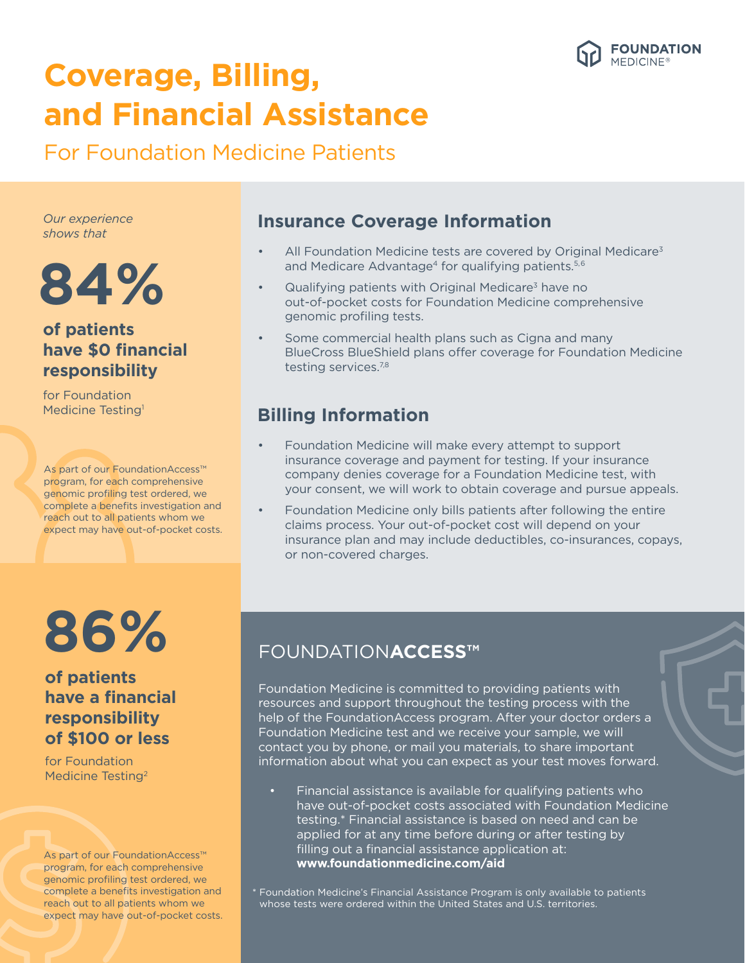

## **Coverage, Billing, and Financial Assistance**

For Foundation Medicine Patients

*Our experience shows that*

# **84%**

#### **of patients have \$0 financial responsibility**

for Foundation Medicine Testing<sup>1</sup>

As part of our FoundationAccess™ program, for each comprehensive genomic profiling test ordered, we complete a benefits investigation and reach out to all patients whom we expect may have out-of-pocket costs.

# **86%**

#### **of patients have a financial responsibility of \$100 or less**

for Foundation Medicine Testing<sup>2</sup>

As part of our FoundationAccess™ program, for each comprehensive genomic profiling test ordered, we complete a benefits investigation and reach out to all patients whom we expect may have out-of-pocket costs.

#### **Insurance Coverage Information**

- All Foundation Medicine tests are covered by Original Medicare<sup>3</sup> and Medicare Advantage<sup>4</sup> for qualifying patients.<sup>5,6</sup>
- Qualifying patients with Original Medicare<sup>3</sup> have no out-of-pocket costs for Foundation Medicine comprehensive genomic profiling tests.
- Some commercial health plans such as Cigna and many BlueCross BlueShield plans offer coverage for Foundation Medicine testing services.<sup>7,8</sup>

### **Billing Information**

- Foundation Medicine will make every attempt to support insurance coverage and payment for testing. If your insurance company denies coverage for a Foundation Medicine test, with your consent, we will work to obtain coverage and pursue appeals.
- Foundation Medicine only bills patients after following the entire claims process. Your out-of-pocket cost will depend on your insurance plan and may include deductibles, co-insurances, copays, or non-covered charges.

### FOUNDATION**ACCESS™**

Foundation Medicine is committed to providing patients with resources and support throughout the testing process with the help of the FoundationAccess program. After your doctor orders a Foundation Medicine test and we receive your sample, we will contact you by phone, or mail you materials, to share important information about what you can expect as your test moves forward.

- Financial assistance is available for qualifying patients who have out-of-pocket costs associated with Foundation Medicine testing.\* Financial assistance is based on need and can be applied for at any time before during or after testing by filling out a financial assistance application at: **www.foundationmedicine.com/aid**
- \* Foundation Medicine's Financial Assistance Program is only available to patients whose tests were ordered within the United States and U.S. territories.